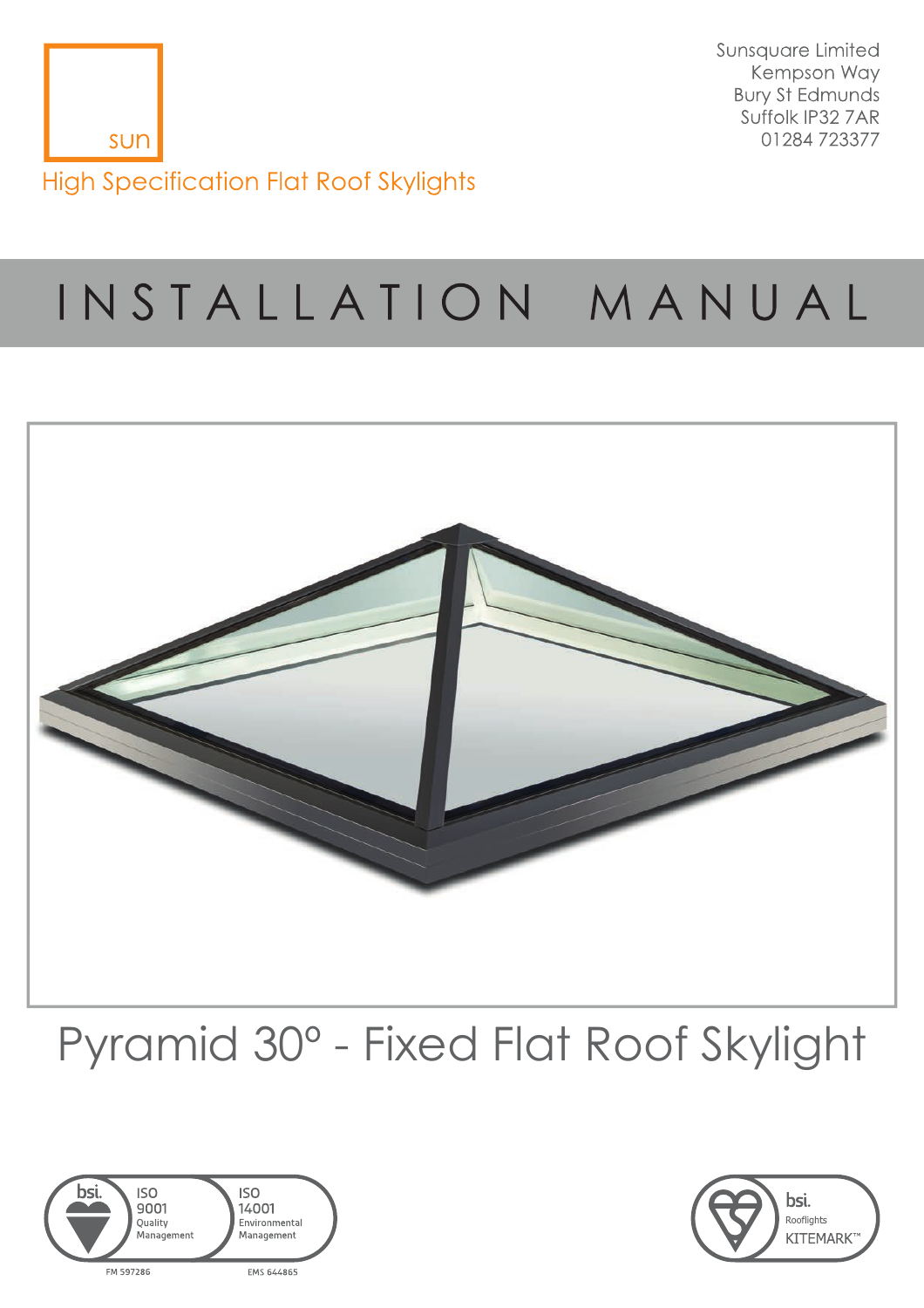

Sunsquare Limited Kempson Way **Bury St Edmunds** Suffolk IP32 7AR 01284723377

# INSTALLATION MANUAL



## Pyramid 30º - Fixed Flat Roof Skylight



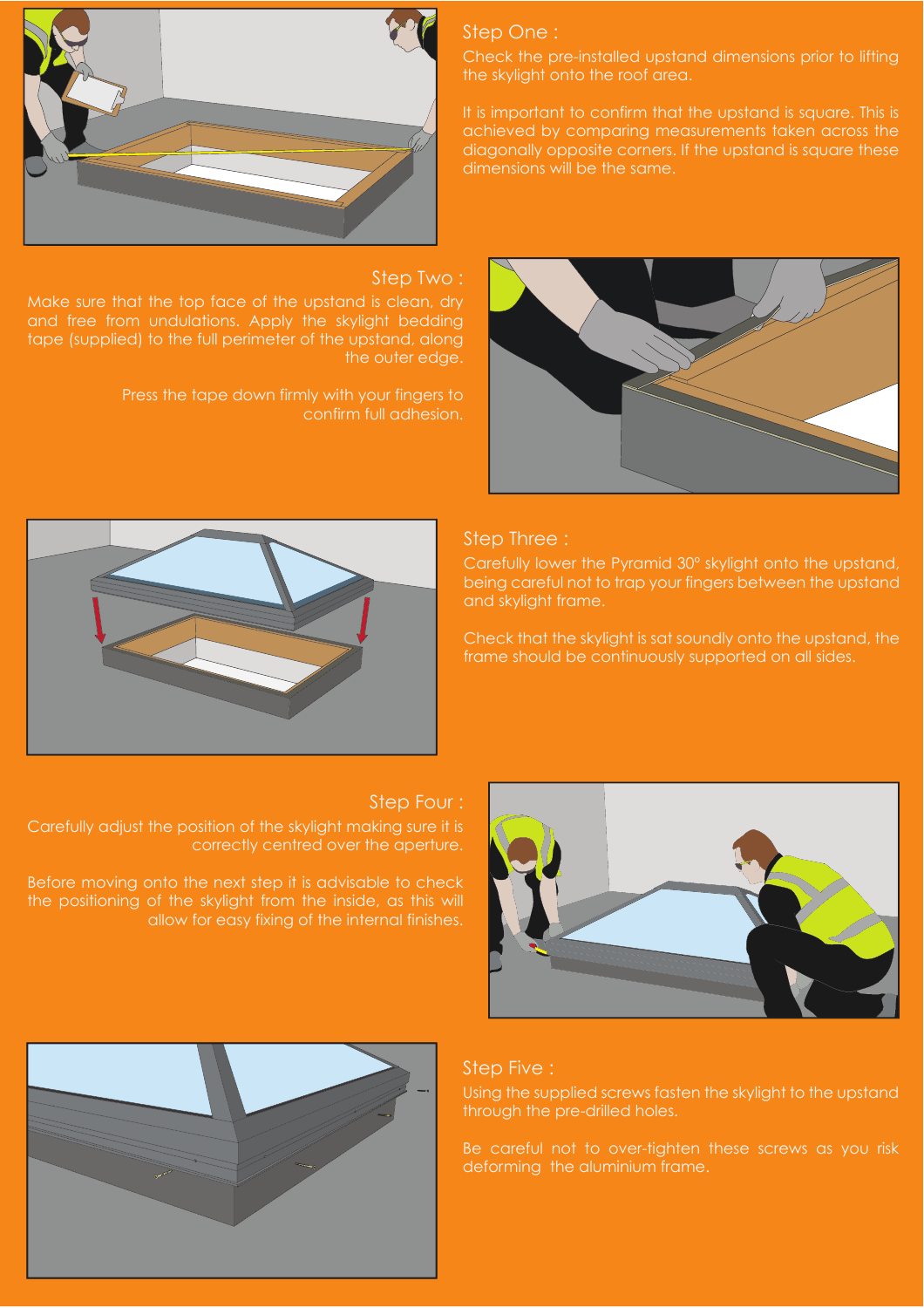

#### Step Two :

and free from undulations. Apply the skylight bedding tape (supplied) to the full perimeter of the upstand, along the outer edge.

> Press the tape down firmly with your fingers to confirm full adhesion.

## Step One :

the skylight onto the roof area.

It is important to confirm that the upstand is square. This is achieved by comparing measurements taken across the diagonally opposite corners. If the upstand is square these dimensions will be the same.





## Step Three :

Carefully lower the Pyramid 30º skylight onto the upstand, being careful not to trap your fingers between the upstand and skylight frame.

Check that the skylight is sat soundly onto the upstand, the frame should be continuously supported on all sides.

#### Step Four :

Carefully adjust the position of the skylight making sure it is correctly centred over the aperture.

Before moving onto the next step it is advisable to check the positioning of the skylight from the inside, as this will





## Step Five :

Using the supplied screws fasten the skylight to the upstand through the pre-drilled holes.

Be careful not to over-tighten these screws as you risk deforming the aluminium frame.